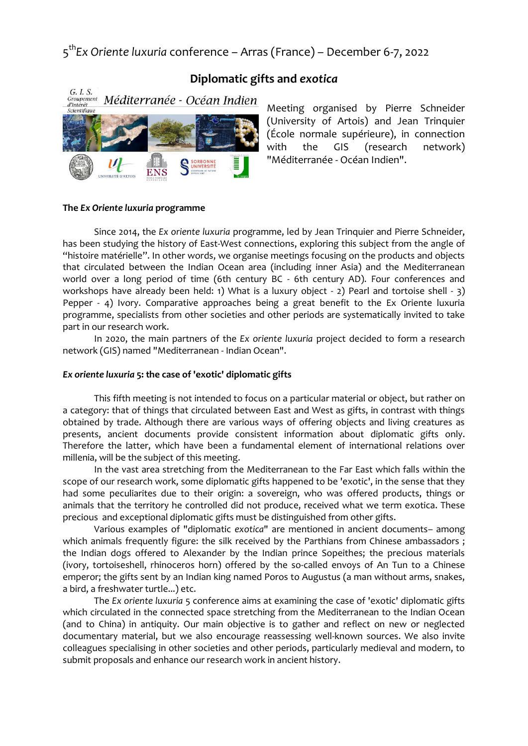5 th*Ex Oriente luxuria* conference – Arras (France) – December 6-7, 2022



# **Diplomatic gifts and** *exotica*

Meeting organised by Pierre Schneider (University of Artois) and Jean Trinquier (École normale supérieure), in connection with the GIS (research network) "Méditerranée - Océan Indien".

#### **The** *Ex Oriente luxuria* **programme**

Since 2014, the *Ex oriente luxuria* programme, led by Jean Trinquier and Pierre Schneider, has been studying the history of East-West connections, exploring this subject from the angle of "histoire matérielle". In other words, we organise meetings focusing on the products and objects that circulated between the Indian Ocean area (including inner Asia) and the Mediterranean world over a long period of time (6th century BC - 6th century AD). Four conferences and workshops have already been held: 1) What is a luxury object - 2) Pearl and tortoise shell - 3) Pepper - 4) Ivory. Comparative approaches being a great benefit to the Ex Oriente luxuria programme, specialists from other societies and other periods are systematically invited to take part in our research work.

In 2020, the main partners of the *Ex oriente luxuria* project decided to form a research network (GIS) named "Mediterranean - Indian Ocean".

#### *Ex oriente luxuria* **5: the case of 'exotic' diplomatic gifts**

This fifth meeting is not intended to focus on a particular material or object, but rather on a category: that of things that circulated between East and West as gifts, in contrast with things obtained by trade. Although there are various ways of offering objects and living creatures as presents, ancient documents provide consistent information about diplomatic gifts only. Therefore the latter, which have been a fundamental element of international relations over millenia, will be the subject of this meeting.

In the vast area stretching from the Mediterranean to the Far East which falls within the scope of our research work, some diplomatic gifts happened to be 'exotic', in the sense that they had some peculiarites due to their origin: a sovereign, who was offered products, things or animals that the territory he controlled did not produce, received what we term exotica. These precious and exceptional diplomatic gifts must be distinguished from other gifts.

Various examples of "diplomatic *exotica*" are mentioned in ancient documents– among which animals frequently figure: the silk received by the Parthians from Chinese ambassadors ; the Indian dogs offered to Alexander by the Indian prince Sopeithes; the precious materials (ivory, tortoiseshell, rhinoceros horn) offered by the so-called envoys of An Tun to a Chinese emperor; the gifts sent by an Indian king named Poros to Augustus (a man without arms, snakes, a bird, a freshwater turtle...) etc.

The *Ex oriente luxuria* 5 conference aims at examining the case of 'exotic' diplomatic gifts which circulated in the connected space stretching from the Mediterranean to the Indian Ocean (and to China) in antiquity. Our main objective is to gather and reflect on new or neglected documentary material, but we also encourage reassessing well-known sources. We also invite colleagues specialising in other societies and other periods, particularly medieval and modern, to submit proposals and enhance our research work in ancient history.